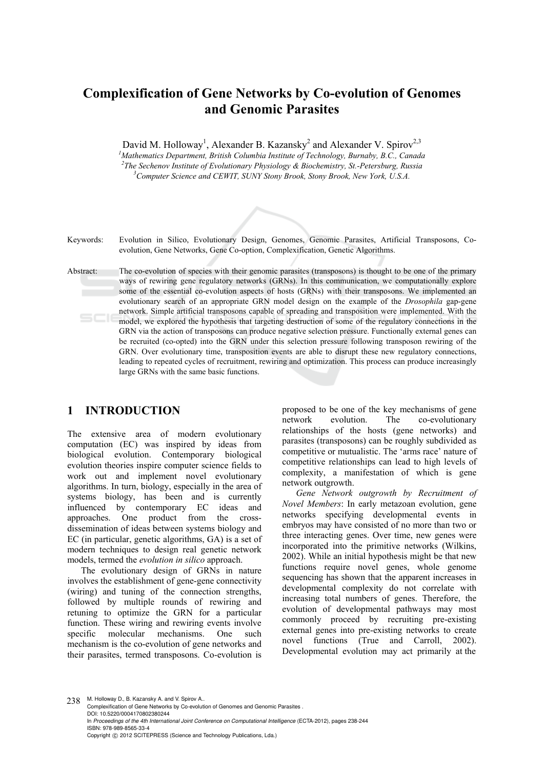# **Complexification of Gene Networks by Co-evolution of Genomes and Genomic Parasites**

David M. Holloway<sup>1</sup>, Alexander B. Kazansky<sup>2</sup> and Alexander V. Spirov<sup>2,3</sup>

<sup>1</sup>Mathematics Department, British Columbia Institute of Technology, Burnaby, B.C., Canada <sup>2</sup>The Seekeney Institute of Evolutionary Physical and *Property Reserves* <sup>2</sup>The Sechenov Institute of Evolutionary Physiology & Biochemistry, St.-Petersburg, Russia *Computer Science and CEWIT, SUNY Stony Brook, Stony Brook, New York, U.S.A.* 



Keywords: Evolution in Silico, Evolutionary Design, Genomes, Genomic Parasites, Artificial Transposons, Coevolution, Gene Networks, Gene Co-option, Complexification, Genetic Algorithms.

Abstract: The co-evolution of species with their genomic parasites (transposons) is thought to be one of the primary ways of rewiring gene regulatory networks (GRNs). In this communication, we computationally explore some of the essential co-evolution aspects of hosts (GRNs) with their transposons. We implemented an evolutionary search of an appropriate GRN model design on the example of the *Drosophila* gap-gene network. Simple artificial transposons capable of spreading and transposition were implemented. With the model, we explored the hypothesis that targeting destruction of some of the regulatory connections in the GRN via the action of transposons can produce negative selection pressure. Functionally external genes can be recruited (co-opted) into the GRN under this selection pressure following transposon rewiring of the GRN. Over evolutionary time, transposition events are able to disrupt these new regulatory connections, leading to repeated cycles of recruitment, rewiring and optimization. This process can produce increasingly large GRNs with the same basic functions.

# **1 INTRODUCTION**

The extensive area of modern evolutionary computation (EC) was inspired by ideas from biological evolution. Contemporary biological evolution theories inspire computer science fields to work out and implement novel evolutionary algorithms. In turn, biology, especially in the area of systems biology, has been and is currently influenced by contemporary EC ideas and approaches. One product from the crossdissemination of ideas between systems biology and EC (in particular, genetic algorithms, GA) is a set of modern techniques to design real genetic network models, termed the *evolution in silico* approach.

The evolutionary design of GRNs in nature involves the establishment of gene-gene connectivity (wiring) and tuning of the connection strengths, followed by multiple rounds of rewiring and retuning to optimize the GRN for a particular function. These wiring and rewiring events involve specific molecular mechanisms. One such mechanism is the co-evolution of gene networks and their parasites, termed transposons. Co-evolution is proposed to be one of the key mechanisms of gene network evolution. The co-evolutionary relationships of the hosts (gene networks) and parasites (transposons) can be roughly subdivided as competitive or mutualistic. The 'arms race' nature of competitive relationships can lead to high levels of complexity, a manifestation of which is gene network outgrowth.

*Gene Network outgrowth by Recruitment of Novel Members*: In early metazoan evolution, gene networks specifying developmental events in embryos may have consisted of no more than two or three interacting genes. Over time, new genes were incorporated into the primitive networks (Wilkins, 2002). While an initial hypothesis might be that new functions require novel genes, whole genome sequencing has shown that the apparent increases in developmental complexity do not correlate with increasing total numbers of genes. Therefore, the evolution of developmental pathways may most commonly proceed by recruiting pre-existing external genes into pre-existing networks to create novel functions (True and Carroll, 2002). Developmental evolution may act primarily at the

238 M. Holloway D., B. Kazansky A. and V. Spirov A. Complexification of Gene Networks by Co-evolution of Genomes and Genomic Parasites . DOI: 10.5220/0004170802380244 In *Proceedings of the 4th International Joint Conference on Computational Intelligence* (ECTA-2012), pages 238-244 ISBN: 978-989-8565-33-4 Copyright © 2012 SCITEPRESS (Science and Technology Publications, Lda.)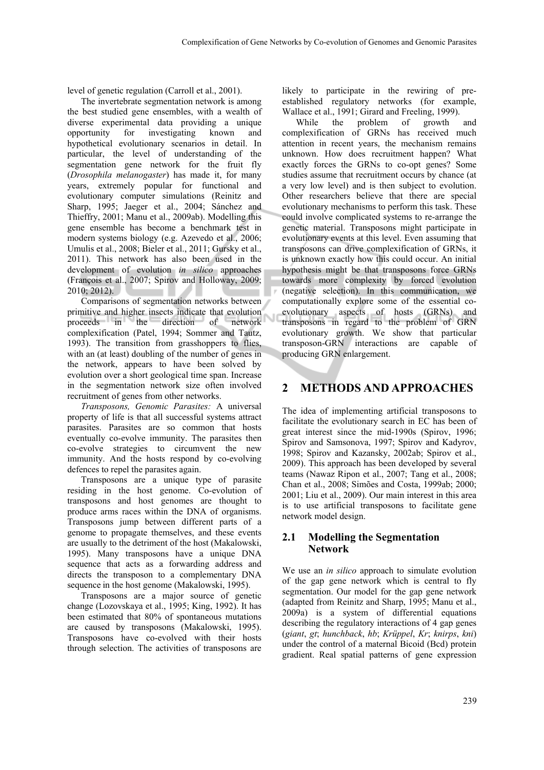level of genetic regulation (Carroll et al., 2001).

The invertebrate segmentation network is among the best studied gene ensembles, with a wealth of diverse experimental data providing a unique opportunity for investigating known and hypothetical evolutionary scenarios in detail. In particular, the level of understanding of the segmentation gene network for the fruit fly (*Drosophila melanogaster*) has made it, for many years, extremely popular for functional and evolutionary computer simulations (Reinitz and Sharp, 1995; Jaeger et al., 2004; Sánchez and Thieffry, 2001; Manu et al., 2009ab). Modelling this gene ensemble has become a benchmark test in modern systems biology (e.g. Azevedo et al., 2006; Umulis et al., 2008; Bieler et al., 2011; Gursky et al., 2011). This network has also been used in the development of evolution *in silico* approaches (François et al., 2007; Spirov and Holloway, 2009; 2010; 2012).

Comparisons of segmentation networks between primitive and higher insects indicate that evolution proceeds in the direction of network complexification (Patel, 1994; Sommer and Tautz, 1993). The transition from grasshoppers to flies, with an (at least) doubling of the number of genes in the network, appears to have been solved by evolution over a short geological time span. Increase in the segmentation network size often involved recruitment of genes from other networks.

Ū

*Transposons, Genomic Parasites:* A universal property of life is that all successful systems attract parasites. Parasites are so common that hosts eventually co-evolve immunity. The parasites then co-evolve strategies to circumvent the new immunity. And the hosts respond by co-evolving defences to repel the parasites again.

Transposons are a unique type of parasite residing in the host genome. Co-evolution of transposons and host genomes are thought to produce arms races within the DNA of organisms. Transposons jump between different parts of a genome to propagate themselves, and these events are usually to the detriment of the host (Makalowski, 1995). Many transposons have a unique DNA sequence that acts as a forwarding address and directs the transposon to a complementary DNA sequence in the host genome (Makalowski, 1995).

Transposons are a major source of genetic change (Lozovskaya et al., 1995; King, 1992). It has been estimated that 80% of spontaneous mutations are caused by transposons (Makalowski, 1995). Transposons have co-evolved with their hosts through selection. The activities of transposons are

likely to participate in the rewiring of preestablished regulatory networks (for example, Wallace et al., 1991; Girard and Freeling, 1999).

While the problem of growth and complexification of GRNs has received much attention in recent years, the mechanism remains unknown. How does recruitment happen? What exactly forces the GRNs to co-opt genes? Some studies assume that recruitment occurs by chance (at a very low level) and is then subject to evolution. Other researchers believe that there are special evolutionary mechanisms to perform this task. These could involve complicated systems to re-arrange the genetic material. Transposons might participate in evolutionary events at this level. Even assuming that transposons can drive complexification of GRNs, it is unknown exactly how this could occur. An initial hypothesis might be that transposons force GRNs towards more complexity by forced evolution (negative selection). In this communication, we computationally explore some of the essential coevolutionary aspects of hosts (GRNs) and transposons in regard to the problem of GRN evolutionary growth. We show that particular transposon-GRN interactions are capable of producing GRN enlargement.

### **2 METHODS AND APPROACHES**

The idea of implementing artificial transposons to facilitate the evolutionary search in EC has been of great interest since the mid-1990s (Spirov, 1996; Spirov and Samsonova, 1997; Spirov and Kadyrov, 1998; Spirov and Kazansky, 2002ab; Spirov et al., 2009). This approach has been developed by several teams (Nawaz Ripon et al., 2007; Tang et al., 2008; Chan et al., 2008; Simões and Costa, 1999ab; 2000; 2001; Liu et al., 2009). Our main interest in this area is to use artificial transposons to facilitate gene network model design.

#### **2.1 Modelling the Segmentation Network**

We use an *in silico* approach to simulate evolution of the gap gene network which is central to fly segmentation. Our model for the gap gene network (adapted from Reinitz and Sharp, 1995; Manu et al., 2009a) is a system of differential equations describing the regulatory interactions of 4 gap genes (*giant*, *gt*; *hunchback*, *hb*; *Krüppel*, *Kr*; *knirps*, *kni*) under the control of a maternal Bicoid (Bcd) protein gradient. Real spatial patterns of gene expression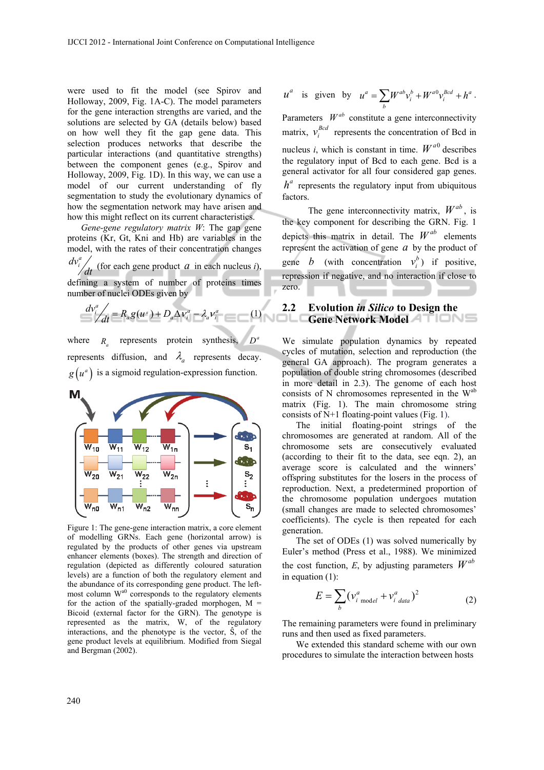were used to fit the model (see Spirov and Holloway, 2009, Fig. 1A-C). The model parameters for the gene interaction strengths are varied, and the solutions are selected by GA (details below) based on how well they fit the gap gene data. This selection produces networks that describe the particular interactions (and quantitative strengths) between the component genes (e.g., Spirov and Holloway, 2009, Fig. 1D). In this way, we can use a model of our current understanding of fly segmentation to study the evolutionary dynamics of how the segmentation network may have arisen and how this might reflect on its current characteristics.

*Gene-gene regulatory matrix W*: The gap gene proteins (Kr, Gt, Kni and Hb) are variables in the model, with the rates of their concentration changes *dt*  $dv_i^a$  (for each gene product *a* in each nucleus *i*), defining a system of number of proteins times number of nuclei ODEs given by

$$
\frac{d v_i^a}{dt} = R_a g(u^a) + D_a \Delta v_i^a - \lambda_a v_i^a \tag{1}
$$

where  $R_a$  represents protein synthesis,  $D^a$ represents diffusion, and  $\lambda$  represents decay.  $g(u^a)$  is a sigmoid regulation-expression function.



Figure 1: The gene-gene interaction matrix, a core element of modelling GRNs. Each gene (horizontal arrow) is regulated by the products of other genes via upstream enhancer elements (boxes). The strength and direction of regulation (depicted as differently coloured saturation levels) are a function of both the regulatory element and the abundance of its corresponding gene product. The leftmost column W<sup>a0</sup> corresponds to the regulatory elements for the action of the spatially-graded morphogen,  $M =$ Bicoid (external factor for the GRN). The genotype is represented as the matrix, W, of the regulatory interactions, and the phenotype is the vector, Ŝ, of the gene product levels at equilibrium. Modified from Siegal and Bergman (2002).

$$
u^a
$$
 is given by  $u^a = \sum_b W^{ab} v_i^b + W^{a0} v_i^{Bcd} + h^a$ .

Parameters  $W^{ab}$  constitute a gene interconnectivity matrix,  $v_i^{Bcd}$  represents the concentration of Bcd in nucleus *i*, which is constant in time.  $W^{a0}$  describes the regulatory input of Bcd to each gene. Bcd is a general activator for all four considered gap genes.  $h^a$  represents the regulatory input from ubiquitous factors.

The gene interconnectivity matrix,  $W^{ab}$ , is the key component for describing the GRN. Fig. 1 depicts this matrix in detail. The  $W^{ab}$  elements represent the activation of gene  $a$  by the product of gene *b* (with concentration  $v_i^b$ ) if positive, repression if negative, and no interaction if close to zero.

### **2.2 Evolution** *in Silico* **to Design the Gene Network Model**

We simulate population dynamics by repeated cycles of mutation, selection and reproduction (the general GA approach). The program generates a population of double string chromosomes (described in more detail in 2.3). The genome of each host consists of N chromosomes represented in the  $W^{ab}$ matrix (Fig. 1). The main chromosome string consists of N+1 floating-point values (Fig. 1).

The initial floating-point strings of the chromosomes are generated at random. All of the chromosome sets are consecutively evaluated (according to their fit to the data, see eqn. 2), an average score is calculated and the winners' offspring substitutes for the losers in the process of reproduction. Next, a predetermined proportion of the chromosome population undergoes mutation (small changes are made to selected chromosomes' coefficients). The cycle is then repeated for each generation.

The set of ODEs (1) was solved numerically by Euler's method (Press et al., 1988). We minimized the cost function,  $E$ , by adjusting parameters  $W^{ab}$ in equation (1):

$$
E = \sum_{b} \left(v_{i \text{ model}}^{a} + v_{i \text{ data}}^{a}\right)^{2}
$$
 (2)

The remaining parameters were found in preliminary runs and then used as fixed parameters.

We extended this standard scheme with our own procedures to simulate the interaction between hosts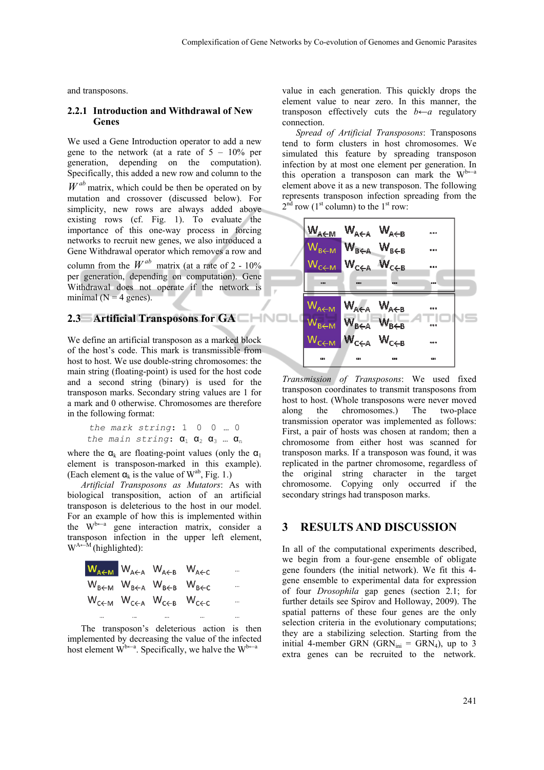and transposons.

#### **2.2.1 Introduction and Withdrawal of New Genes**

We used a Gene Introduction operator to add a new gene to the network (at a rate of  $5 - 10\%$  per generation, depending on the computation). Specifically, this added a new row and column to the  $W^{ab}$  matrix, which could be then be operated on by mutation and crossover (discussed below). For simplicity, new rows are always added above existing rows (cf. Fig. 1). To evaluate the importance of this one-way process in forcing networks to recruit new genes, we also introduced a Gene Withdrawal operator which removes a row and column from the  $W^{ab}$  matrix (at a rate of 2 - 10%) per generation, depending on computation). Gene Withdrawal does not operate if the network is minimal ( $N = 4$  genes).

### **2.3 Artificial Transposons for GA**

We define an artificial transposon as a marked block of the host's code. This mark is transmissible from host to host. We use double-string chromosomes: the main string (floating-point) is used for the host code and a second string (binary) is used for the transposon marks. Secondary string values are 1 for a mark and 0 otherwise. Chromosomes are therefore in the following format:

```
the mark string: 1 0 0 … 0 
the main string: \alpha_1 \alpha_2 \alpha_3 ... \alpha_n
```
where the  $\alpha_k$  are floating-point values (only the  $\alpha_1$ ) element is transposon-marked in this example). (Each element  $\alpha_k$  is the value of W<sup>ab</sup>, Fig. 1.)

*Artificial Transposons as Mutators*: As with biological transposition, action of an artificial transposon is deleterious to the host in our model. For an example of how this is implemented within the  $W^{b\leftarrow a}$  gene interaction matrix, consider a transposon infection in the upper left element,  $W^{A \leftarrow M}$  (highlighted):

| $W_{A\leftarrow M}$ $W_{A\leftarrow A}$ $W_{A\leftarrow B}$ $W_{A\leftarrow C}$     |      |      |
|-------------------------------------------------------------------------------------|------|------|
| $W_{B\leftarrow M}$ $W_{B\leftarrow A}$ $W_{B\leftarrow B}$ $W_{B\leftarrow C}$     |      |      |
| $W_{C \leftarrow M}$ $W_{C \leftarrow A}$ $W_{C \leftarrow B}$ $W_{C \leftarrow C}$ |      |      |
|                                                                                     | <br> | <br> |

The transposon's deleterious action is then implemented by decreasing the value of the infected host element  $W^{b-a}$ . Specifically, we halve the  $W^{b-a}$ 

value in each generation. This quickly drops the element value to near zero. In this manner, the transposon effectively cuts the  $b \leftarrow a$  regulatory connection.

*Spread of Artificial Transposons*: Transposons tend to form clusters in host chromosomes. We simulated this feature by spreading transposon infection by at most one element per generation. In this operation a transposon can mark the  $W^{b-a}$ element above it as a new transposon. The following represents transposon infection spreading from the  $2<sup>nd</sup>$  row (1<sup>st</sup> column) to the 1<sup>st</sup> row:



*Transmission of Transposons*: We used fixed transposon coordinates to transmit transposons from host to host. (Whole transposons were never moved along the chromosomes.) The two-place transmission operator was implemented as follows: First, a pair of hosts was chosen at random; then a chromosome from either host was scanned for transposon marks. If a transposon was found, it was replicated in the partner chromosome, regardless of the original string character in the target chromosome. Copying only occurred if the secondary strings had transposon marks.

### **3 RESULTS AND DISCUSSION**

In all of the computational experiments described, we begin from a four-gene ensemble of obligate gene founders (the initial network). We fit this 4 gene ensemble to experimental data for expression of four *Drosophila* gap genes (section 2.1; for further details see Spirov and Holloway, 2009). The spatial patterns of these four genes are the only selection criteria in the evolutionary computations; they are a stabilizing selection. Starting from the initial 4-member GRN (GRN $_{\text{ini}}$  = GRN<sub>4</sub>), up to 3 extra genes can be recruited to the network.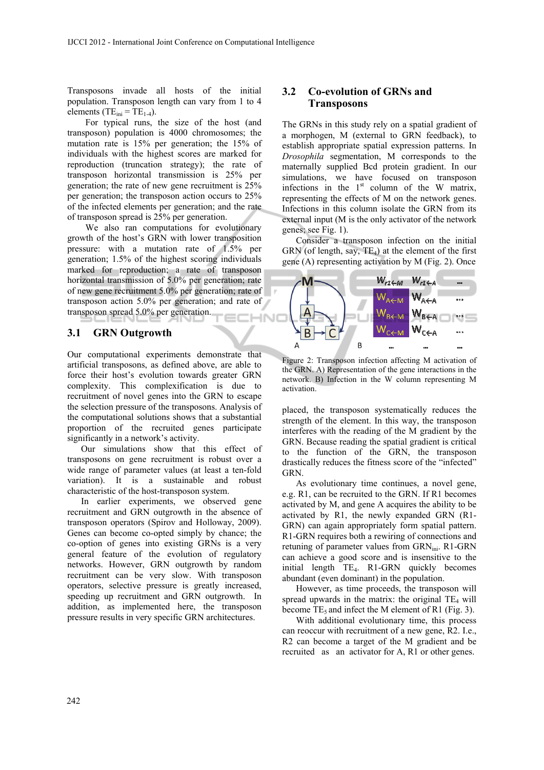Transposons invade all hosts of the initial population. Transposon length can vary from 1 to 4 elements (T $E_{\text{ini}} = TE_{1.4}$ ).

For typical runs, the size of the host (and transposon) population is 4000 chromosomes; the mutation rate is 15% per generation; the 15% of individuals with the highest scores are marked for reproduction (truncation strategy); the rate of transposon horizontal transmission is 25% per generation; the rate of new gene recruitment is 25% per generation; the transposon action occurs to 25% of the infected elements per generation; and the rate of transposon spread is 25% per generation.

We also ran computations for evolutionary growth of the host's GRN with lower transposition pressure: with a mutation rate of 1.5% per generation; 1.5% of the highest scoring individuals marked for reproduction; a rate of transposon horizontal transmission of 5.0% per generation; rate of new gene recruitment 5.0% per generation; rate of transposon action 5.0% per generation; and rate of transposon spread 5.0% per generation. HND

#### **3.1 GRN Outgrowth**

Our computational experiments demonstrate that artificial transposons, as defined above, are able to force their host's evolution towards greater GRN complexity. This complexification is due to recruitment of novel genes into the GRN to escape the selection pressure of the transposons. Analysis of the computational solutions shows that a substantial proportion of the recruited genes participate significantly in a network's activity.

Our simulations show that this effect of transposons on gene recruitment is robust over a wide range of parameter values (at least a ten-fold variation). It is a sustainable and robust characteristic of the host-transposon system.

In earlier experiments, we observed gene recruitment and GRN outgrowth in the absence of transposon operators (Spirov and Holloway, 2009). Genes can become co-opted simply by chance; the co-option of genes into existing GRNs is a very general feature of the evolution of regulatory networks. However, GRN outgrowth by random recruitment can be very slow. With transposon operators, selective pressure is greatly increased, speeding up recruitment and GRN outgrowth. In addition, as implemented here, the transposon pressure results in very specific GRN architectures.

#### **3.2 Co-evolution of GRNs and Transposons**

The GRNs in this study rely on a spatial gradient of a morphogen, M (external to GRN feedback), to establish appropriate spatial expression patterns. In *Drosophila* segmentation, M corresponds to the maternally supplied Bcd protein gradient. In our simulations, we have focused on transposon infections in the  $1<sup>st</sup>$  column of the W matrix, representing the effects of M on the network genes. Infections in this column isolate the GRN from its external input (M is the only activator of the network genes; see Fig. 1).

Consider a transposon infection on the initial GRN (of length, say,  $TE_4$ ) at the element of the first gene (A) representing activation by M (Fig. 2). Once



Figure 2: Transposon infection affecting M activation of the GRN. A) Representation of the gene interactions in the network. B) Infection in the W column representing M activation.

placed, the transposon systematically reduces the strength of the element. In this way, the transposon interferes with the reading of the M gradient by the GRN. Because reading the spatial gradient is critical to the function of the GRN, the transposon drastically reduces the fitness score of the "infected" **GRN** 

As evolutionary time continues, a novel gene, e.g. R1, can be recruited to the GRN. If R1 becomes activated by M, and gene A acquires the ability to be activated by R1, the newly expanded GRN (R1- GRN) can again appropriately form spatial pattern. R1-GRN requires both a rewiring of connections and retuning of parameter values from GRN<sub>ini</sub>. R1-GRN can achieve a good score and is insensitive to the initial length TE<sub>4</sub>. R1-GRN quickly becomes abundant (even dominant) in the population.

However, as time proceeds, the transposon will spread upwards in the matrix: the original  $TE_4$  will become  $TE_5$  and infect the M element of R1 (Fig. 3).

With additional evolutionary time, this process can reoccur with recruitment of a new gene, R2. I.e., R2 can become a target of the M gradient and be recruited as an activator for A, R1 or other genes.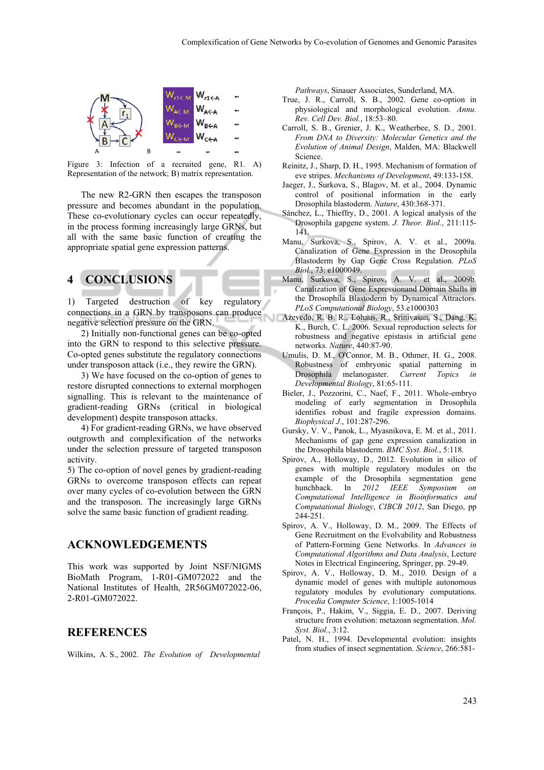

Figure 3: Infection of a recruited gene, R1. A) Representation of the network; B) matrix representation.

The new R2-GRN then escapes the transposon pressure and becomes abundant in the population. These co-evolutionary cycles can occur repeatedly, in the process forming increasingly large GRNs, but all with the same basic function of creating the appropriate spatial gene expression patterns.

# **4 CONCLUSIONS**

1) Targeted destruction of key regulatory connections in a GRN by transposons can produce negative selection pressure on the GRN.

2) Initially non-functional genes can be co-opted into the GRN to respond to this selective pressure. Co-opted genes substitute the regulatory connections under transposon attack (i.e., they rewire the GRN).

3) We have focused on the co-option of genes to restore disrupted connections to external morphogen signalling. This is relevant to the maintenance of gradient-reading GRNs (critical in biological development) despite transposon attacks.

4) For gradient-reading GRNs, we have observed outgrowth and complexification of the networks under the selection pressure of targeted transposon activity.

5) The co-option of novel genes by gradient-reading GRNs to overcome transposon effects can repeat over many cycles of co-evolution between the GRN and the transposon. The increasingly large GRNs solve the same basic function of gradient reading.

#### **ACKNOWLEDGEMENTS**

This work was supported by Joint NSF/NIGMS BioMath Program, 1-R01-GM072022 and the National Institutes of Health, 2R56GM072022-06, 2-R01-GM072022.

#### **REFERENCES**

Wilkins, A. S., 2002. *The Evolution of Developmental* 

*Pathways*, Sinauer Associates, Sunderland, MA.

- True, J. R., Carroll, S. B., 2002. Gene co-option in physiological and morphological evolution. *Annu. Rev. Cell Dev. Biol.*, 18:53–80.
- Carroll, S. B., Grenier, J. K., Weatherbee, S. D., 2001. *From DNA to Diversity: Molecular Genetics and the Evolution of Animal Design*, Malden, MA: Blackwell Science.
- Reinitz, J., Sharp, D. H., 1995. Mechanism of formation of eve stripes. *Mechanisms of Development*, 49:133-158.
- Jaeger, J., Surkova, S., Blagov, M. et al., 2004. Dynamic control of positional information in the early Drosophila blastoderm. *Nature*, 430:368-371.
- Sánchez, L., Thieffry, D., 2001. A logical analysis of the Drosophila gapgene system. *J. Theor. Biol.*, 211:115- 141.
- Manu, Surkova, S., Spirov, A. V. et al., 2009a. Canalization of Gene Expression in the Drosophila Blastoderm by Gap Gene Cross Regulation. *PLoS Biol.*, 73: e1000049.
- Manu, Surkova, S., Spirov, A. V. et al., 2009b. Canalization of Gene Expressionand Domain Shifts in the Drosophila Blastoderm by Dynamical Attractors. *PLoS Computational Biology*, 53.e1000303
- Azevedo, R. B. R., Lohaus, R., Srinivasan, S., Dang, K. K., Burch, C. L. 2006. Sexual reproduction selects for robustness and negative epistasis in artificial gene networks. *Nature*, 440:87-90.
- Umulis, D. M., O'Connor, M. B., Othmer, H. G., 2008. Robustness of embryonic spatial patterning in Drosophila melanogaster. *Current Topics in Developmental Biology*, 81:65-111.
- Bieler, J., Pozzorini, C., Naef, F., 2011. Whole-embryo modeling of early segmentation in Drosophila identifies robust and fragile expression domains. *Biophysical J.*, 101:287-296.
- Gursky, V. V., Panok, L., Myasnikova, E. M. et al., 2011. Mechanisms of gap gene expression canalization in the Drosophila blastoderm. *BMC Syst. Biol.*, 5:118.
- Spirov, A., Holloway, D., 2012. Evolution in silico of genes with multiple regulatory modules on the example of the Drosophila segmentation gene hunchback. In *2012 IEEE Symposium on Computational Intelligence in Bioinformatics and Computational Biology*, *CIBCB 2012*, San Diego, pp 244-251.
- Spirov, A. V., Holloway, D. M., 2009. The Effects of Gene Recruitment on the Evolvability and Robustness of Pattern-Forming Gene Networks. In *Advances in Computational Algorithms and Data Analysis*, Lecture Notes in Electrical Engineering, Springer, pp. 29-49.
- Spirov, A. V., Holloway, D. M., 2010. Design of a dynamic model of genes with multiple autonomous regulatory modules by evolutionary computations. *Procedia Computer Science*, 1:1005-1014
- François, P., Hakim, V., Siggia, E. D., 2007. Deriving structure from evolution: metazoan segmentation. *Mol. Syst. Biol.*, 3:12.
- Patel, N. H., 1994. Developmental evolution: insights from studies of insect segmentation. *Science*, 266:581-